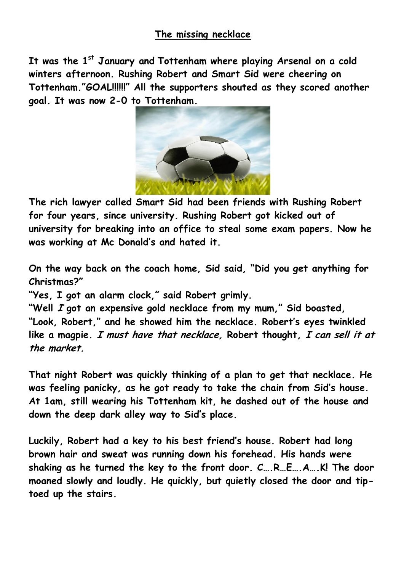## **The missing necklace**

**It was the 1 st January and Tottenham where playing Arsenal on a cold winters afternoon. Rushing Robert and Smart Sid were cheering on Tottenham."GOAL!!!!!!" All the supporters shouted as they scored another goal. It was now 2-0 to Tottenham.**



**The rich lawyer called Smart Sid had been friends with Rushing Robert for four years, since university. Rushing Robert got kicked out of university for breaking into an office to steal some exam papers. Now he was working at Mc Donald's and hated it.** 

**On the way back on the coach home, Sid said, "Did you get anything for Christmas?"** 

**"Yes, I got an alarm clock," said Robert grimly.**

**"Well I got an expensive gold necklace from my mum," Sid boasted, "Look, Robert," and he showed him the necklace. Robert's eyes twinkled like a magpie. I must have that necklace, Robert thought, I can sell it at the market.**

**That night Robert was quickly thinking of a plan to get that necklace. He was feeling panicky, as he got ready to take the chain from Sid's house. At 1am, still wearing his Tottenham kit, he dashed out of the house and down the deep dark alley way to Sid's place.** 

**Luckily, Robert had a key to his best friend's house. Robert had long brown hair and sweat was running down his forehead. His hands were shaking as he turned the key to the front door. C….R…E….A….K! The door moaned slowly and loudly. He quickly, but quietly closed the door and tiptoed up the stairs.**